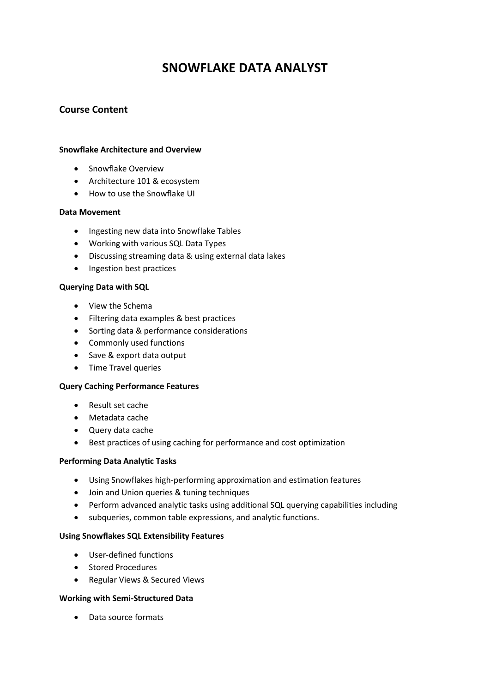# **SNOWFLAKE DATA ANALYST**

## **Course Content**

#### **Snowflake Architecture and Overview**

- Snowflake Overview
- Architecture 101 & ecosystem
- How to use the Snowflake UI

#### **Data Movement**

- Ingesting new data into Snowflake Tables
- Working with various SQL Data Types
- Discussing streaming data & using external data lakes
- Ingestion best practices

### **Querying Data with SQL**

- View the Schema
- Filtering data examples & best practices
- Sorting data & performance considerations
- Commonly used functions
- Save & export data output
- Time Travel queries

#### **Query Caching Performance Features**

- Result set cache
- Metadata cache
- Query data cache
- Best practices of using caching for performance and cost optimization

#### **Performing Data Analytic Tasks**

- Using Snowflakes high-performing approximation and estimation features
- Join and Union queries & tuning techniques
- Perform advanced analytic tasks using additional SQL querying capabilities including
- subqueries, common table expressions, and analytic functions.

#### **Using Snowflakes SQL Extensibility Features**

- User-defined functions
- Stored Procedures
- Regular Views & Secured Views

## **Working with Semi-Structured Data**

Data source formats